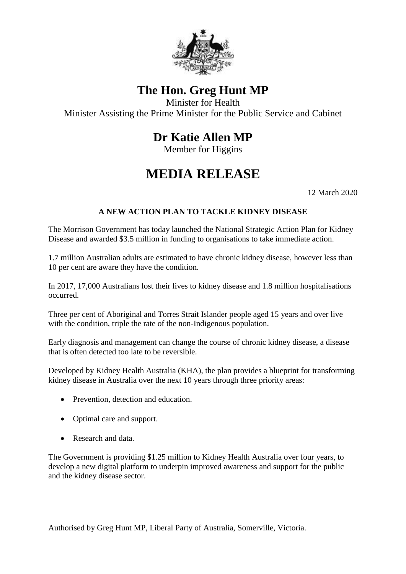

## **The Hon. Greg Hunt MP**

Minister for Health Minister Assisting the Prime Minister for the Public Service and Cabinet

## **Dr Katie Allen MP**

Member for Higgins

## **MEDIA RELEASE**

12 March 2020

## **A NEW ACTION PLAN TO TACKLE KIDNEY DISEASE**

The Morrison Government has today launched the National Strategic Action Plan for Kidney Disease and awarded \$3.5 million in funding to organisations to take immediate action.

1.7 million Australian adults are estimated to have chronic kidney disease, however less than 10 per cent are aware they have the condition.

In 2017, 17,000 Australians lost their lives to kidney disease and 1.8 million hospitalisations occurred.

Three per cent of Aboriginal and Torres Strait Islander people aged 15 years and over live with the condition, triple the rate of the non-Indigenous population.

Early diagnosis and management can change the course of chronic kidney disease, a disease that is often detected too late to be reversible.

Developed by Kidney Health Australia (KHA), the plan provides a blueprint for transforming kidney disease in Australia over the next 10 years through three priority areas:

- Prevention, detection and education.
- Optimal care and support.
- Research and data.

The Government is providing \$1.25 million to Kidney Health Australia over four years, to develop a new digital platform to underpin improved awareness and support for the public and the kidney disease sector.

Authorised by Greg Hunt MP, Liberal Party of Australia, Somerville, Victoria.